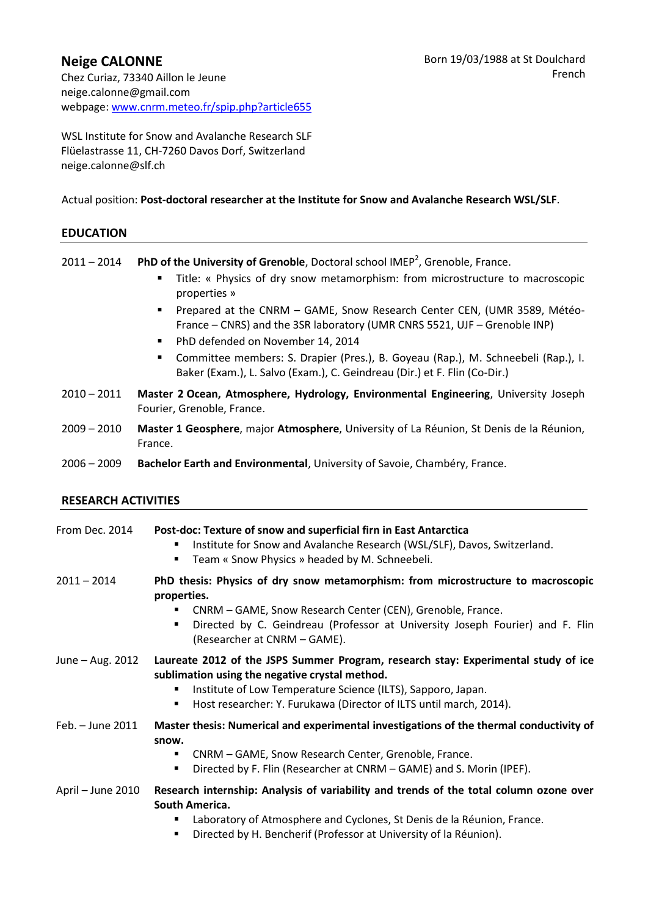WSL Institute for Snow and Avalanche Research SLF Flüelastrasse 11, CH-7260 Davos Dorf, Switzerland neige.calonne@slf.ch

Actual position: **Post-doctoral researcher at the Institute for Snow and Avalanche Research WSL/SLF**.

# **EDUCATION**

2011 - 2014 **PhD of the University of Grenoble**, Doctoral school IMEP<sup>2</sup>, Grenoble, France.

- Title: « Physics of dry snow metamorphism: from microstructure to macroscopic properties »
- **Prepared at the CNRM GAME, Snow Research Center CEN, (UMR 3589, Météo-**France – CNRS) and the 3SR laboratory (UMR CNRS 5521, UJF – Grenoble INP)
- **PhD defended on November 14, 2014**
- Committee members: S. Drapier (Pres.), B. Goyeau (Rap.), M. Schneebeli (Rap.), I. Baker (Exam.), L. Salvo (Exam.), C. Geindreau (Dir.) et F. Flin (Co-Dir.)
- 2010 2011 **Master 2 Ocean, Atmosphere, Hydrology, Environmental Engineering**, University Joseph Fourier, Grenoble, France.
- 2009 2010 **Master 1 Geosphere**, major **Atmosphere**, University of La Réunion, St Denis de la Réunion, France.
- 2006 2009 **Bachelor Earth and Environmental**, University of Savoie, Chambéry, France.

# **RESEARCH ACTIVITIES**

| From Dec. 2014    | Post-doc: Texture of snow and superficial firn in East Antarctica<br>Institute for Snow and Avalanche Research (WSL/SLF), Davos, Switzerland.<br>п<br>Team « Snow Physics » headed by M. Schneebeli.<br>٠                                                                       |
|-------------------|---------------------------------------------------------------------------------------------------------------------------------------------------------------------------------------------------------------------------------------------------------------------------------|
| $2011 - 2014$     | PhD thesis: Physics of dry snow metamorphism: from microstructure to macroscopic<br>properties.<br>CNRM - GAME, Snow Research Center (CEN), Grenoble, France.<br>Directed by C. Geindreau (Professor at University Joseph Fourier) and F. Flin<br>(Researcher at CNRM – GAME).  |
| June – Aug. 2012  | Laureate 2012 of the JSPS Summer Program, research stay: Experimental study of ice<br>sublimation using the negative crystal method.<br>Institute of Low Temperature Science (ILTS), Sapporo, Japan.<br>п<br>Host researcher: Y. Furukawa (Director of ILTS until march, 2014). |
| Feb. - June 2011  | Master thesis: Numerical and experimental investigations of the thermal conductivity of<br>snow.<br>CNRM - GAME, Snow Research Center, Grenoble, France.<br>٠<br>Directed by F. Flin (Researcher at CNRM – GAME) and S. Morin (IPEF).<br>$\blacksquare$                         |
| April - June 2010 | Research internship: Analysis of variability and trends of the total column ozone over<br>South America.<br>Laboratory of Atmosphere and Cyclones, St Denis de la Réunion, France.<br>■<br>Directed by H. Bencherif (Professor at University of la Réunion).                    |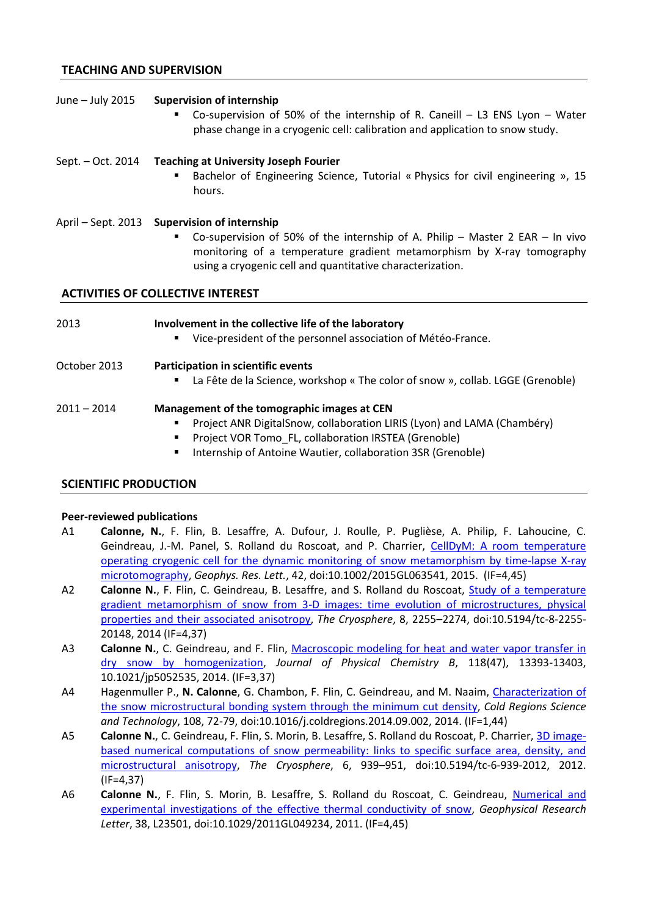## **TEACHING AND SUPERVISION**

#### June – July 2015 **Supervision of internship**

 Co-supervision of 50% of the internship of R. Caneill – L3 ENS Lyon – Water phase change in a cryogenic cell: calibration and application to snow study.

### Sept. – Oct. 2014 **Teaching at University Joseph Fourier**

**Bachelor of Engineering Science, Tutorial « Physics for civil engineering », 15** hours.

#### April – Sept. 2013 **Supervision of internship**

 Co-supervision of 50% of the internship of A. Philip – Master 2 EAR – In vivo monitoring of a temperature gradient metamorphism by X-ray tomography using a cryogenic cell and quantitative characterization.

#### **ACTIVITIES OF COLLECTIVE INTEREST**

#### 2013 **Involvement in the collective life of the laboratory**

Vice-president of the personnel association of Météo-France.

# October 2013 **Participation in scientific events**

La Fête de la Science, workshop « The color of snow », collab. LGGE (Grenoble)

#### 2011 – 2014 **Management of the tomographic images at CEN**

- Project ANR DigitalSnow, collaboration LIRIS (Lyon) and LAMA (Chambéry)
- Project VOR Tomo\_FL, collaboration IRSTEA (Grenoble)
- **Internship of Antoine Wautier, collaboration 3SR (Grenoble)**

#### **SCIENTIFIC PRODUCTION**

#### **Peer-reviewed publications**

- A1 **Calonne, N.**, F. Flin, B. Lesaffre, A. Dufour, J. Roulle, P. Puglièse, A. Philip, F. Lahoucine, C. Geindreau, J.-M. Panel, S. Rolland du Roscoat, and P. Charrier, [CellDyM: A room temperature](http://onlinelibrary.wiley.com/doi/10.1002/2015GL063541/full)  [operating cryogenic cell for the dynamic monitoring of snow metamorphism by time-lapse X-ray](http://onlinelibrary.wiley.com/doi/10.1002/2015GL063541/full)  [microtomography,](http://onlinelibrary.wiley.com/doi/10.1002/2015GL063541/full) *Geophys. Res. Lett.*, 42, doi:10.1002/2015GL063541, 2015. (IF=4,45)
- A2 **Calonne N.**, F. Flin, C. Geindreau, B. Lesaffre, and S. Rolland du Roscoat, [Study of a temperature](http://www.the-cryosphere.net/8/2255/2014/tc-8-2255-2014.pdf)  [gradient metamorphism of snow from 3-D images: time evolution of microstructures, physical](http://www.the-cryosphere.net/8/2255/2014/tc-8-2255-2014.pdf)  [properties and their associated anisotropy,](http://www.the-cryosphere.net/8/2255/2014/tc-8-2255-2014.pdf) *The Cryosphere*, 8, 2255–2274, doi:10.5194/tc-8-2255- 20148, 2014 (IF=4,37)
- A3 **Calonne N.**, C. Geindreau, and F. Flin, Macroscopic modeling for heat and water vapor transfer in [dry snow by homogenization,](http://pubs.acs.org/doi/abs/10.1021/jp5052535) *Journal of Physical Chemistry B*, 118(47), 13393-13403, 10.1021/jp5052535, 2014. (IF=3,37)
- A4 Hagenmuller P., **N. Calonne**, G. Chambon, F. Flin, C. Geindreau, and M. Naaim, [Characterization of](http://www.sciencedirect.com/science/article/pii/S0165232X1400161X)  [the snow microstructural bonding system through the minimum cut density,](http://www.sciencedirect.com/science/article/pii/S0165232X1400161X) *Cold Regions Science and Technology*, 108, 72-79, doi:10.1016/j.coldregions.2014.09.002, 2014. (IF=1,44)
- A5 **Calonne N.**, C. Geindreau, F. Flin, S. Morin, B. Lesaffre, S. Rolland du Roscoat, P. Charrier, [3D image](http://www.the-cryosphere.net/6/939/2012/tc-6-939-2012.html)[based numerical computations of snow permeability: links to specific surface area, density, and](http://www.the-cryosphere.net/6/939/2012/tc-6-939-2012.html)  [microstructural anisotropy,](http://www.the-cryosphere.net/6/939/2012/tc-6-939-2012.html) *The Cryosphere*, 6, 939–951, doi:10.5194/tc-6-939-2012, 2012. (IF=4,37)
- A6 **Calonne N.**, F. Flin, S. Morin, B. Lesaffre, S. Rolland du Roscoat, C. Geindreau, [Numerical and](http://onlinelibrary.wiley.com/doi/10.1029/2011GL049234/full)  [experimental investigations of the effective thermal conductivity of snow,](http://onlinelibrary.wiley.com/doi/10.1029/2011GL049234/full) *Geophysical Research Letter*, 38, L23501, doi:10.1029/2011GL049234, 2011. (IF=4,45)